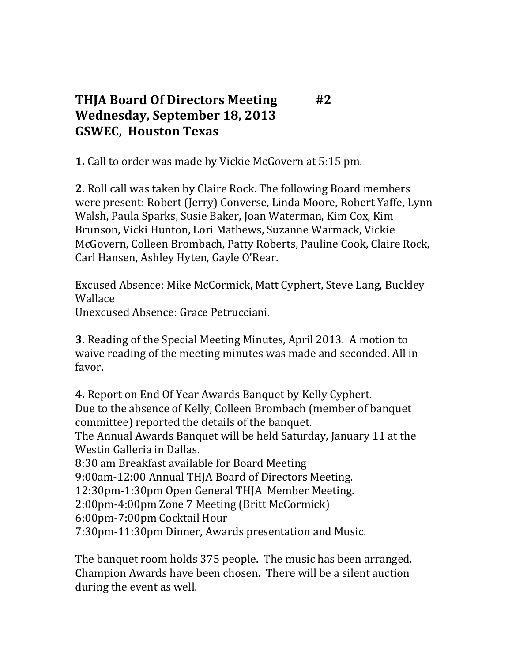## **THJA Board Of Directors Meeting #2 Wednesday, September 18, 2013 GSWEC, Houston Texas**

**1.** Call to order was made by Vickie McGovern at 5:15 pm.

**2.** Roll call was taken by Claire Rock. The following Board members were present: Robert (Jerry) Converse, Linda Moore, Robert Yaffe, Lynn Walsh, Paula Sparks, Susie Baker, Joan Waterman, Kim Cox, Kim Brunson, Vicki Hunton, Lori Mathews, Suzanne Warmack, Vickie McGovern, Colleen Brombach, Patty Roberts, Pauline Cook, Claire Rock, Carl Hansen, Ashley Hyten, Gayle O'Rear.

Excused Absence: Mike McCormick, Matt Cyphert, Steve Lang, Buckley Wallace Unexcused Absence: Grace Petrucciani.

**3.** Reading of the Special Meeting Minutes, April 2013. A motion to waive reading of the meeting minutes was made and seconded. All in favor.

**4.** Report on End Of Year Awards Banquet by Kelly Cyphert. Due to the absence of Kelly, Colleen Brombach (member of banquet committee) reported the details of the banquet. The Annual Awards Banquet will be held Saturday, January 11 at the Westin Galleria in Dallas. 8:30 am Breakfast available for Board Meeting 9:00am-12:00 Annual THJA Board of Directors Meeting. 12:30pm-1:30pm Open General THJA Member Meeting. 2:00pm-4:00pm Zone 7 Meeting (Britt McCormick) 6:00pm-7:00pm Cocktail Hour 7:30pm-11:30pm Dinner, Awards presentation and Music.

The banquet room holds 375 people. The music has been arranged. Champion Awards have been chosen. There will be a silent auction during the event as well.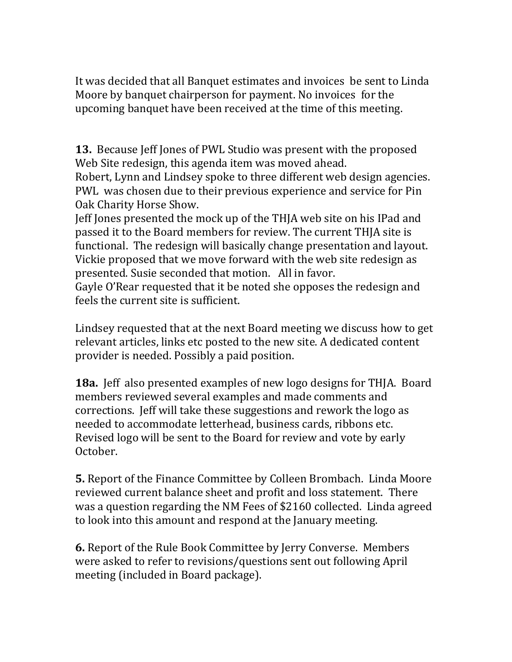It was decided that all Banquet estimates and invoices be sent to Linda Moore by banquet chairperson for payment. No invoices for the upcoming banquet have been received at the time of this meeting.

**13.** Because Jeff Jones of PWL Studio was present with the proposed Web Site redesign, this agenda item was moved ahead. Robert, Lynn and Lindsey spoke to three different web design agencies.

PWL was chosen due to their previous experience and service for Pin Oak Charity Horse Show.

Jeff Jones presented the mock up of the THJA web site on his IPad and passed it to the Board members for review. The current THJA site is functional. The redesign will basically change presentation and layout. Vickie proposed that we move forward with the web site redesign as presented. Susie seconded that motion. All in favor.

Gayle O'Rear requested that it be noted she opposes the redesign and feels the current site is sufficient.

Lindsey requested that at the next Board meeting we discuss how to get relevant articles, links etc posted to the new site. A dedicated content provider is needed. Possibly a paid position.

**18a.** Jeff also presented examples of new logo designs for THJA. Board members reviewed several examples and made comments and corrections. Jeff will take these suggestions and rework the logo as needed to accommodate letterhead, business cards, ribbons etc. Revised logo will be sent to the Board for review and vote by early October.

**5.** Report of the Finance Committee by Colleen Brombach. Linda Moore reviewed current balance sheet and profit and loss statement. There was a question regarding the NM Fees of \$2160 collected. Linda agreed to look into this amount and respond at the January meeting.

**6.** Report of the Rule Book Committee by Jerry Converse. Members were asked to refer to revisions/questions sent out following April meeting (included in Board package).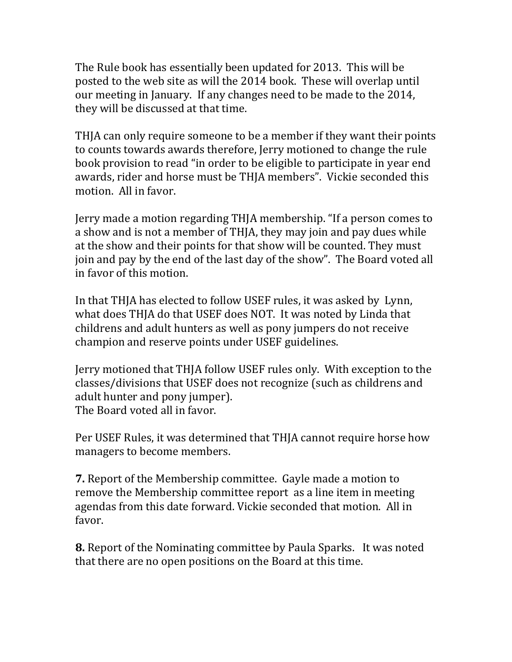The Rule book has essentially been updated for 2013. This will be posted to the web site as will the 2014 book. These will overlap until our meeting in January. If any changes need to be made to the 2014, they will be discussed at that time.

THJA can only require someone to be a member if they want their points to counts towards awards therefore, Jerry motioned to change the rule book provision to read "in order to be eligible to participate in year end awards, rider and horse must be THJA members". Vickie seconded this motion. All in favor.

Jerry made a motion regarding THJA membership. "If a person comes to a show and is not a member of THJA, they may join and pay dues while at the show and their points for that show will be counted. They must join and pay by the end of the last day of the show". The Board voted all in favor of this motion.

In that THJA has elected to follow USEF rules, it was asked by Lynn, what does THJA do that USEF does NOT. It was noted by Linda that childrens and adult hunters as well as pony jumpers do not receive champion and reserve points under USEF guidelines.

Jerry motioned that THJA follow USEF rules only. With exception to the classes/divisions that USEF does not recognize (such as childrens and adult hunter and pony jumper). The Board voted all in favor.

Per USEF Rules, it was determined that THJA cannot require horse how managers to become members.

**7.** Report of the Membership committee. Gayle made a motion to remove the Membership committee report as a line item in meeting agendas from this date forward. Vickie seconded that motion. All in favor.

**8.** Report of the Nominating committee by Paula Sparks. It was noted that there are no open positions on the Board at this time.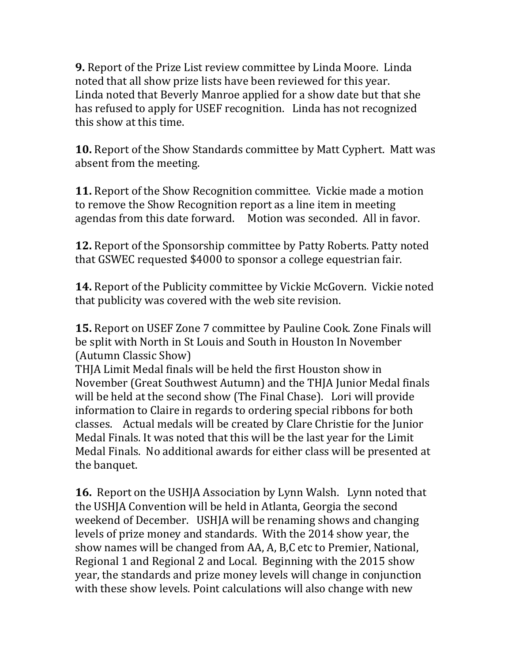**9.** Report of the Prize List review committee by Linda Moore. Linda noted that all show prize lists have been reviewed for this year. Linda noted that Beverly Manroe applied for a show date but that she has refused to apply for USEF recognition. Linda has not recognized this show at this time.

**10.** Report of the Show Standards committee by Matt Cyphert. Matt was absent from the meeting.

**11.** Report of the Show Recognition committee. Vickie made a motion to remove the Show Recognition report as a line item in meeting agendas from this date forward. Motion was seconded. All in favor.

**12.** Report of the Sponsorship committee by Patty Roberts. Patty noted that GSWEC requested \$4000 to sponsor a college equestrian fair.

**14.** Report of the Publicity committee by Vickie McGovern. Vickie noted that publicity was covered with the web site revision.

**15.** Report on USEF Zone 7 committee by Pauline Cook. Zone Finals will be split with North in St Louis and South in Houston In November (Autumn Classic Show)

THJA Limit Medal finals will be held the first Houston show in November (Great Southwest Autumn) and the THJA Junior Medal finals will be held at the second show (The Final Chase). Lori will provide information to Claire in regards to ordering special ribbons for both classes. Actual medals will be created by Clare Christie for the Junior Medal Finals. It was noted that this will be the last year for the Limit Medal Finals. No additional awards for either class will be presented at the banquet.

**16.** Report on the USHJA Association by Lynn Walsh. Lynn noted that the USHJA Convention will be held in Atlanta, Georgia the second weekend of December. USHJA will be renaming shows and changing levels of prize money and standards. With the 2014 show year, the show names will be changed from AA, A, B,C etc to Premier, National, Regional 1 and Regional 2 and Local. Beginning with the 2015 show year, the standards and prize money levels will change in conjunction with these show levels. Point calculations will also change with new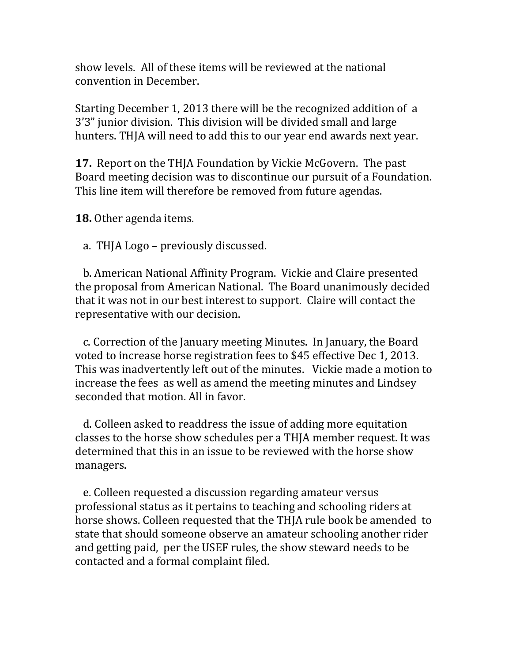show levels. All of these items will be reviewed at the national convention in December.

Starting December 1, 2013 there will be the recognized addition of a 3'3" junior division. This division will be divided small and large hunters. THJA will need to add this to our year end awards next year.

**17.** Report on the THJA Foundation by Vickie McGovern. The past Board meeting decision was to discontinue our pursuit of a Foundation. This line item will therefore be removed from future agendas.

**18.** Other agenda items.

a. THJA Logo – previously discussed.

 b. American National Affinity Program. Vickie and Claire presented the proposal from American National. The Board unanimously decided that it was not in our best interest to support. Claire will contact the representative with our decision.

 c. Correction of the January meeting Minutes. In January, the Board voted to increase horse registration fees to \$45 effective Dec 1, 2013. This was inadvertently left out of the minutes. Vickie made a motion to increase the fees as well as amend the meeting minutes and Lindsey seconded that motion. All in favor.

 d. Colleen asked to readdress the issue of adding more equitation classes to the horse show schedules per a THJA member request. It was determined that this in an issue to be reviewed with the horse show managers.

 e. Colleen requested a discussion regarding amateur versus professional status as it pertains to teaching and schooling riders at horse shows. Colleen requested that the THJA rule book be amended to state that should someone observe an amateur schooling another rider and getting paid, per the USEF rules, the show steward needs to be contacted and a formal complaint filed.